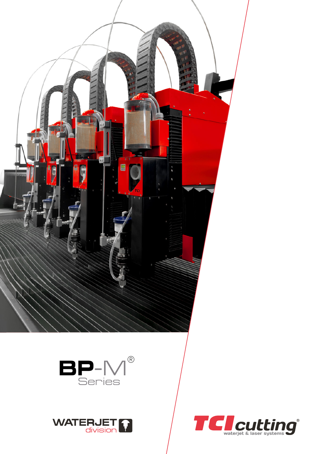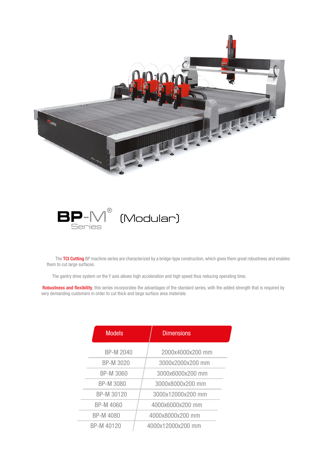



The TCI Cutting BP machine series are characterized by a bridge-type construction, which gives them great robustness and enables them to cut large surfaces.

The gantry drive system on the Y axis allows high acceleration and high speed thus reducing operating time.

Robustness and flexibility, this series incorporates the advantages of the standard series, with the added strength that is required by very demanding customers in order to cut thick and large surface area materials.

| <b>Models</b>    | <b>Dimensions</b> |  |
|------------------|-------------------|--|
| <b>BP-M 2040</b> | 2000x4000x200 mm  |  |
| <b>BP-M 3020</b> | 3000x2000x200 mm  |  |
| <b>BP-M 3060</b> | 3000x6000x200 mm  |  |
| <b>BP-M 3080</b> | 3000x8000x200 mm  |  |
| BP-M 30120       | 3000x12000x200 mm |  |
| <b>BP-M 4060</b> | 4000x6000x200 mm  |  |
| BP-M 4080        | 4000x8000x200 mm  |  |
| BP-M 40120       | 4000x12000x200 mm |  |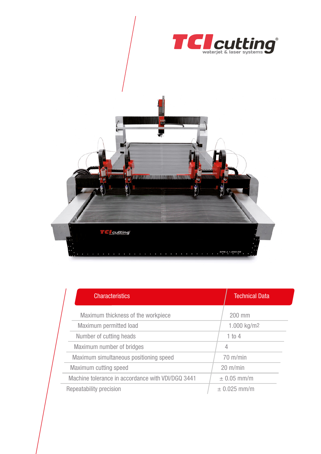



| <b>Characteristics</b>                            |  | <b>Technical Data</b>   |  |
|---------------------------------------------------|--|-------------------------|--|
| Maximum thickness of the workpiece                |  | 200 mm                  |  |
| Maximum permitted load                            |  | 1.000 kg/m <sup>2</sup> |  |
| Number of cutting heads                           |  | 1 to 4                  |  |
| Maximum number of bridges                         |  | 4                       |  |
| Maximum simultaneous positioning speed            |  | $70 \text{ m/min}$      |  |
| Maximum cutting speed                             |  | $20 \text{ m/min}$      |  |
| Machine tolerance in accordance with VDI/DGQ 3441 |  | $\pm$ 0.05 mm/m         |  |
| Repeatability precision                           |  | $± 0.025$ mm/m          |  |